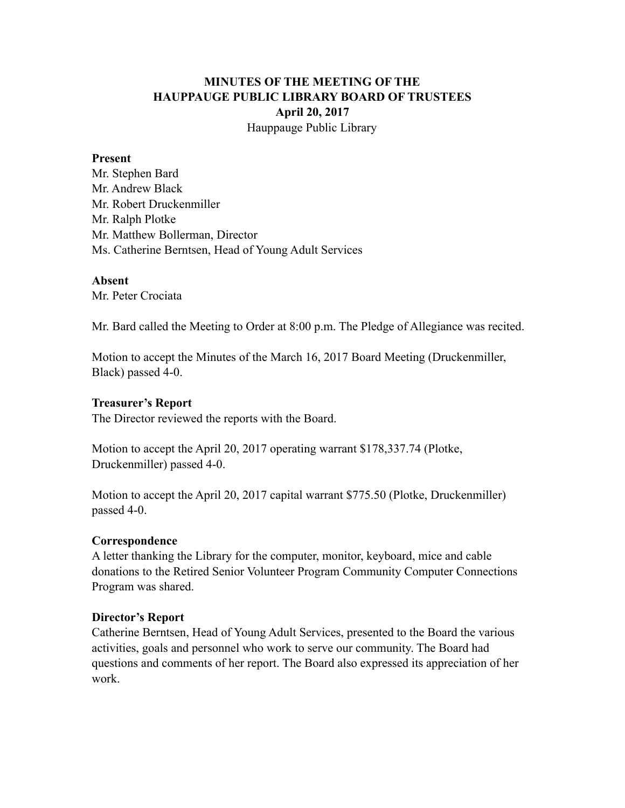# **MINUTES OF THE MEETING OF THE HAUPPAUGE PUBLIC LIBRARY BOARD OF TRUSTEES April 20, 2017** Hauppauge Public Library

### **Present**

Mr. Stephen Bard Mr. Andrew Black Mr. Robert Druckenmiller Mr. Ralph Plotke Mr. Matthew Bollerman, Director Ms. Catherine Berntsen, Head of Young Adult Services

## **Absent**

Mr. Peter Crociata

Mr. Bard called the Meeting to Order at 8:00 p.m. The Pledge of Allegiance was recited.

Motion to accept the Minutes of the March 16, 2017 Board Meeting (Druckenmiller, Black) passed 4-0.

### **Treasurer's Report**

The Director reviewed the reports with the Board.

Motion to accept the April 20, 2017 operating warrant \$178,337.74 (Plotke, Druckenmiller) passed 4-0.

Motion to accept the April 20, 2017 capital warrant \$775.50 (Plotke, Druckenmiller) passed 4-0.

#### **Correspondence**

A letter thanking the Library for the computer, monitor, keyboard, mice and cable donations to the Retired Senior Volunteer Program Community Computer Connections Program was shared.

#### **Director's Report**

Catherine Berntsen, Head of Young Adult Services, presented to the Board the various activities, goals and personnel who work to serve our community. The Board had questions and comments of her report. The Board also expressed its appreciation of her work.